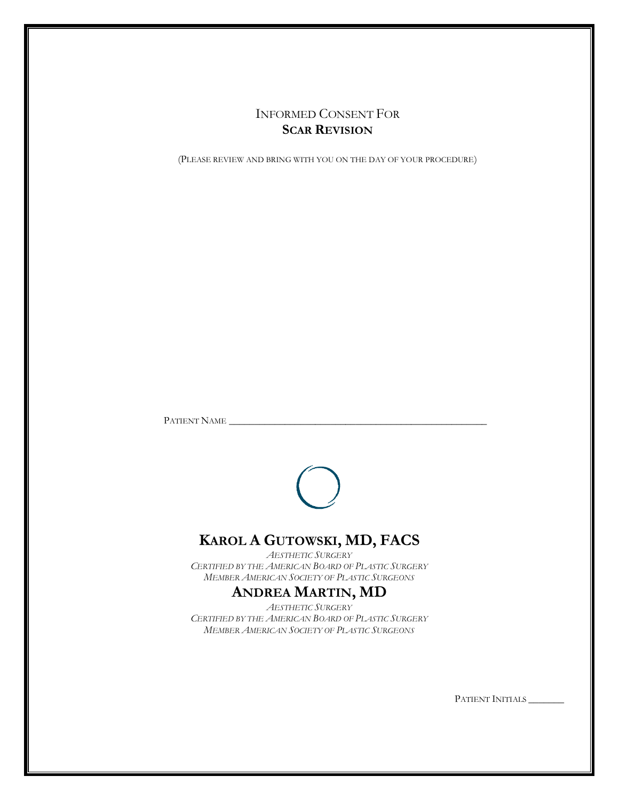# INFORMED CONSENT FOR **SCAR REVISION**

(PLEASE REVIEW AND BRING WITH YOU ON THE DAY OF YOUR PROCEDURE)

PATIENT NAME \_\_\_\_\_\_\_\_\_\_\_\_\_\_\_\_\_\_\_\_\_\_\_\_\_\_\_\_\_\_\_\_\_\_\_\_\_\_\_\_\_\_\_\_\_\_\_\_\_\_\_



# **KAROL A GUTOWSKI, MD, FACS**

*AESTHETIC SURGERY CERTIFIED BY THE AMERICAN BOARD OF PLASTIC SURGERY MEMBER AMERICAN SOCIETY OF PLASTIC SURGEONS*

# **ANDREA MARTIN, MD**

*AESTHETIC SURGERY CERTIFIED BY THE AMERICAN BOARD OF PLASTIC SURGERY MEMBER AMERICAN SOCIETY OF PLASTIC SURGEONS*

PATIENT INITIALS \_\_\_\_\_\_\_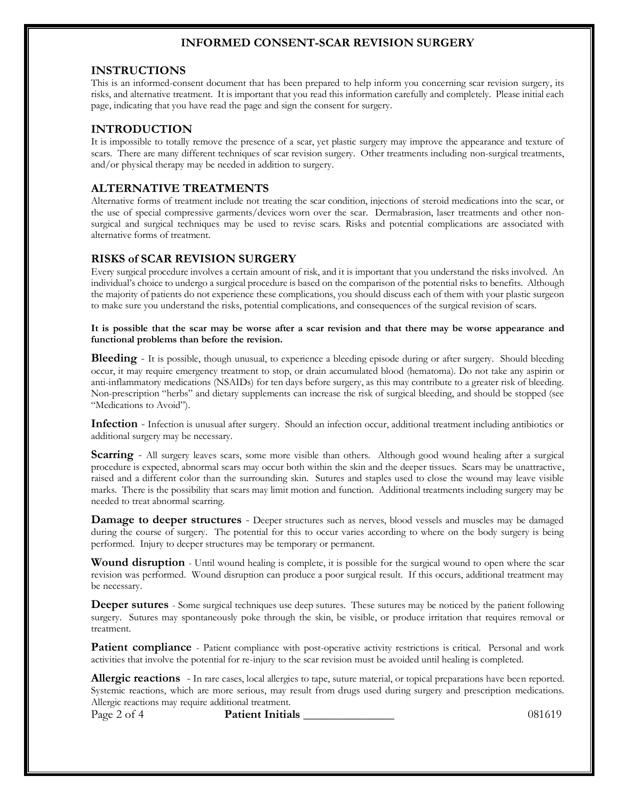## **INFORMED CONSENT-SCAR REVISION SURGERY**

#### **INSTRUCTIONS**

This is an informed-consent document that has been prepared to help inform you concerning scar revision surgery, its risks, and alternative treatment. It is important that you read this information carefully and completely. Please initial each page, indicating that you have read the page and sign the consent for surgery.

### **INTRODUCTION**

It is impossible to totally remove the presence of a scar, yet plastic surgery may improve the appearance and texture of scars. There are many different techniques of scar revision surgery. Other treatments including non-surgical treatments, and/or physical therapy may be needed in addition to surgery.

## **ALTERNATIVE TREATMENTS**

Alternative forms of treatment include not treating the scar condition, injections of steroid medications into the scar, or the use of special compressive garments/devices worn over the scar. Dermabrasion, laser treatments and other nonsurgical and surgical techniques may be used to revise scars. Risks and potential complications are associated with alternative forms of treatment.

### **RISKS of SCAR REVISION SURGERY**

Every surgical procedure involves a certain amount of risk, and it is important that you understand the risks involved. An individual's choice to undergo a surgical procedure is based on the comparison of the potential risks to benefits. Although the majority of patients do not experience these complications, you should discuss each of them with your plastic surgeon to make sure you understand the risks, potential complications, and consequences of the surgical revision of scars.

#### **It is possible that the scar may be worse after a scar revision and that there may be worse appearance and functional problems than before the revision.**

**Bleeding** - It is possible, though unusual, to experience a bleeding episode during or after surgery. Should bleeding occur, it may require emergency treatment to stop, or drain accumulated blood (hematoma). Do not take any aspirin or anti-inflammatory medications (NSAIDs) for ten days before surgery, as this may contribute to a greater risk of bleeding. Non-prescription "herbs" and dietary supplements can increase the risk of surgical bleeding, and should be stopped (see "Medications to Avoid").

**Infection** - Infection is unusual after surgery. Should an infection occur, additional treatment including antibiotics or additional surgery may be necessary.

**Scarring** - All surgery leaves scars, some more visible than others. Although good wound healing after a surgical procedure is expected, abnormal scars may occur both within the skin and the deeper tissues. Scars may be unattractive, raised and a different color than the surrounding skin. Sutures and staples used to close the wound may leave visible marks. There is the possibility that scars may limit motion and function. Additional treatments including surgery may be needed to treat abnormal scarring.

**Damage to deeper structures** - Deeper structures such as nerves, blood vessels and muscles may be damaged during the course of surgery. The potential for this to occur varies according to where on the body surgery is being performed. Injury to deeper structures may be temporary or permanent.

**Wound disruption** - Until wound healing is complete, it is possible for the surgical wound to open where the scar revision was performed. Wound disruption can produce a poor surgical result. If this occurs, additional treatment may be necessary.

**Deeper sutures** - Some surgical techniques use deep sutures. These sutures may be noticed by the patient following surgery. Sutures may spontaneously poke through the skin, be visible, or produce irritation that requires removal or treatment.

**Patient compliance** - Patient compliance with post-operative activity restrictions is critical. Personal and work activities that involve the potential for re-injury to the scar revision must be avoided until healing is completed.

**Allergic reactions** - In rare cases, local allergies to tape, suture material, or topical preparations have been reported. Systemic reactions, which are more serious, may result from drugs used during surgery and prescription medications. Allergic reactions may require additional treatment.

Page 2 of 4 **Patient Initials** 2 of 4 **Patient Initials** 2 of 4 **Patient Initials** 2 of 4 **Patient Initials** 2 of 4 **Patient Initials** 2 of 4 **Patient Initials** 2 of 4 **Patient Initials** 2 of 4 **Patient Initials** 2 of 4 **P**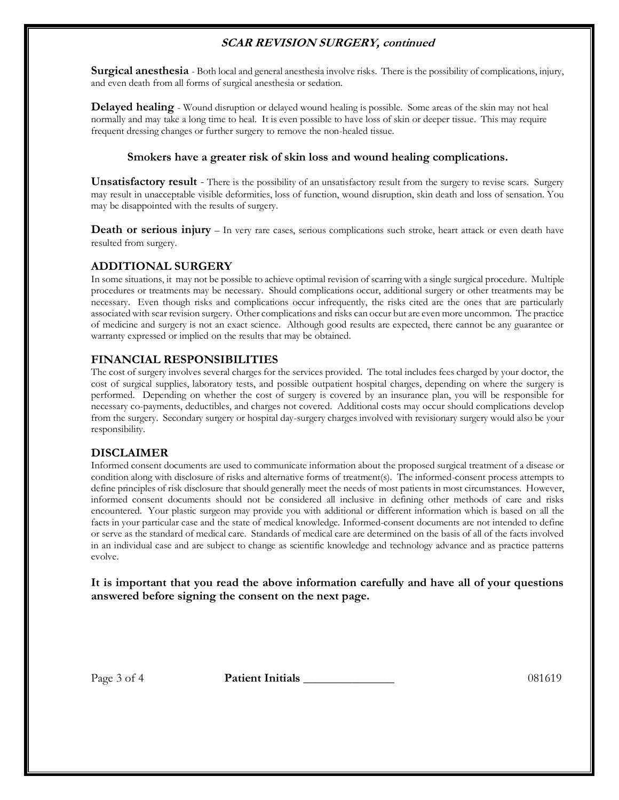# **SCAR REVISION SURGERY, continued**

**Surgical anesthesia** - Both local and general anesthesia involve risks. There is the possibility of complications, injury, and even death from all forms of surgical anesthesia or sedation.

**Delayed healing** - Wound disruption or delayed wound healing is possible. Some areas of the skin may not heal normally and may take a long time to heal. It is even possible to have loss of skin or deeper tissue. This may require frequent dressing changes or further surgery to remove the non-healed tissue.

### **Smokers have a greater risk of skin loss and wound healing complications.**

**Unsatisfactory result** - There is the possibility of an unsatisfactory result from the surgery to revise scars. Surgery may result in unacceptable visible deformities, loss of function, wound disruption, skin death and loss of sensation. You may be disappointed with the results of surgery.

**Death or serious injury** – In very rare cases, serious complications such stroke, heart attack or even death have resulted from surgery.

## **ADDITIONAL SURGERY**

In some situations, it may not be possible to achieve optimal revision of scarring with a single surgical procedure. Multiple procedures or treatments may be necessary. Should complications occur, additional surgery or other treatments may be necessary. Even though risks and complications occur infrequently, the risks cited are the ones that are particularly associated with scar revision surgery. Other complications and risks can occur but are even more uncommon. The practice of medicine and surgery is not an exact science. Although good results are expected, there cannot be any guarantee or warranty expressed or implied on the results that may be obtained.

## **FINANCIAL RESPONSIBILITIES**

The cost of surgery involves several charges for the services provided. The total includes fees charged by your doctor, the cost of surgical supplies, laboratory tests, and possible outpatient hospital charges, depending on where the surgery is performed. Depending on whether the cost of surgery is covered by an insurance plan, you will be responsible for necessary co-payments, deductibles, and charges not covered. Additional costs may occur should complications develop from the surgery. Secondary surgery or hospital day-surgery charges involved with revisionary surgery would also be your responsibility.

## **DISCLAIMER**

Informed consent documents are used to communicate information about the proposed surgical treatment of a disease or condition along with disclosure of risks and alternative forms of treatment(s). The informed-consent process attempts to define principles of risk disclosure that should generally meet the needs of most patients in most circumstances. However, informed consent documents should not be considered all inclusive in defining other methods of care and risks encountered. Your plastic surgeon may provide you with additional or different information which is based on all the facts in your particular case and the state of medical knowledge. Informed-consent documents are not intended to define or serve as the standard of medical care. Standards of medical care are determined on the basis of all of the facts involved in an individual case and are subject to change as scientific knowledge and technology advance and as practice patterns evolve.

**It is important that you read the above information carefully and have all of your questions answered before signing the consent on the next page.**

Page 3 of 4 **Patient Initials** 187 188 1891 1892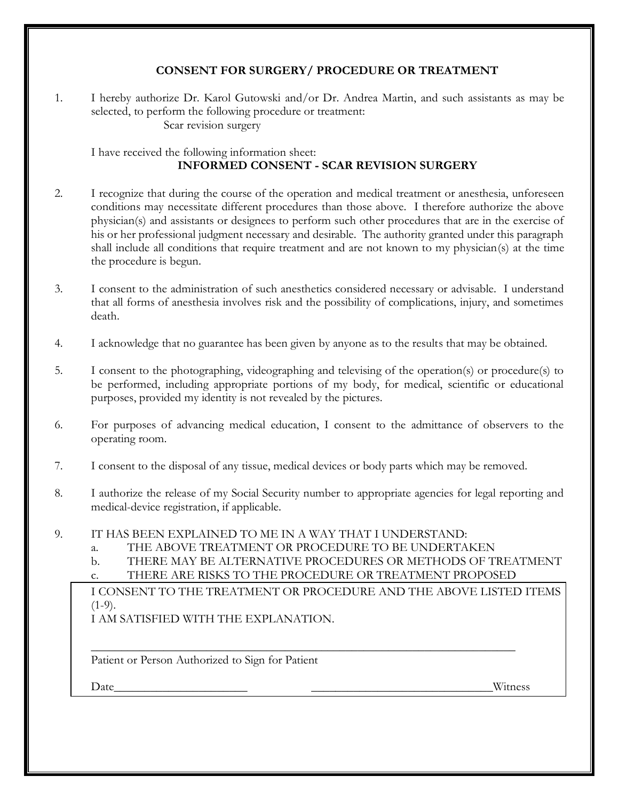# **CONSENT FOR SURGERY/ PROCEDURE OR TREATMENT**

1. I hereby authorize Dr. Karol Gutowski and/or Dr. Andrea Martin, and such assistants as may be selected, to perform the following procedure or treatment: Scar revision surgery

I have received the following information sheet: **INFORMED CONSENT - SCAR REVISION SURGERY**

- 2. I recognize that during the course of the operation and medical treatment or anesthesia, unforeseen conditions may necessitate different procedures than those above. I therefore authorize the above physician(s) and assistants or designees to perform such other procedures that are in the exercise of his or her professional judgment necessary and desirable. The authority granted under this paragraph shall include all conditions that require treatment and are not known to my physician(s) at the time the procedure is begun.
- 3. I consent to the administration of such anesthetics considered necessary or advisable. I understand that all forms of anesthesia involves risk and the possibility of complications, injury, and sometimes death.
- 4. I acknowledge that no guarantee has been given by anyone as to the results that may be obtained.
- 5. I consent to the photographing, videographing and televising of the operation(s) or procedure(s) to be performed, including appropriate portions of my body, for medical, scientific or educational purposes, provided my identity is not revealed by the pictures.
- 6. For purposes of advancing medical education, I consent to the admittance of observers to the operating room.
- 7. I consent to the disposal of any tissue, medical devices or body parts which may be removed.
- 8. I authorize the release of my Social Security number to appropriate agencies for legal reporting and medical-device registration, if applicable.
- 9. IT HAS BEEN EXPLAINED TO ME IN A WAY THAT I UNDERSTAND:
	- a. THE ABOVE TREATMENT OR PROCEDURE TO BE UNDERTAKEN
	- b. THERE MAY BE ALTERNATIVE PROCEDURES OR METHODS OF TREATMENT
	- c. THERE ARE RISKS TO THE PROCEDURE OR TREATMENT PROPOSED

\_\_\_\_\_\_\_\_\_\_\_\_\_\_\_\_\_\_\_\_\_\_\_\_\_\_\_\_\_\_\_\_\_\_\_\_\_\_\_\_\_\_\_\_\_\_\_\_\_\_\_\_\_\_\_\_\_\_\_\_\_\_\_\_\_\_\_\_\_\_

I CONSENT TO THE TREATMENT OR PROCEDURE AND THE ABOVE LISTED ITEMS  $(1-9)$ .

I AM SATISFIED WITH THE EXPLANATION.

Patient or Person Authorized to Sign for Patient

Date\_\_\_\_\_\_\_\_\_\_\_\_\_\_\_\_\_\_\_\_\_\_ \_\_\_\_\_\_\_\_\_\_\_\_\_\_\_\_\_\_\_\_\_\_\_\_\_\_\_\_\_\_Witness